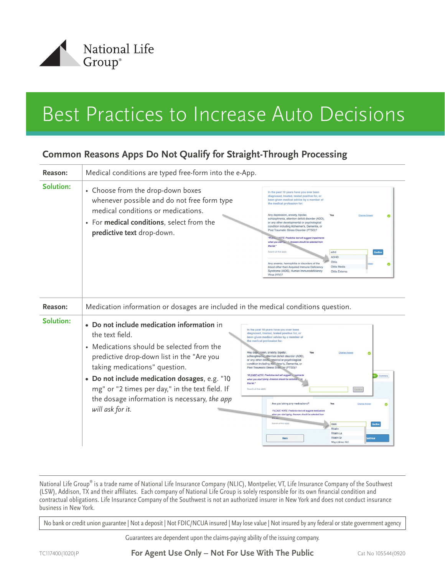

## Best Practices to Increase Auto Decisions

## **Common Reasons Apps Do Not Qualify for Straight-Through Processing**

| Reason:   | Medical conditions are typed free-form into the e-App.                                                                                                                                                                                                                                                                                                           |                                                                                                                                                                                                                                                                                                                                                                                                                                                                                                                                                                                                                                                                                                                                                                                                                                                                                                       |
|-----------|------------------------------------------------------------------------------------------------------------------------------------------------------------------------------------------------------------------------------------------------------------------------------------------------------------------------------------------------------------------|-------------------------------------------------------------------------------------------------------------------------------------------------------------------------------------------------------------------------------------------------------------------------------------------------------------------------------------------------------------------------------------------------------------------------------------------------------------------------------------------------------------------------------------------------------------------------------------------------------------------------------------------------------------------------------------------------------------------------------------------------------------------------------------------------------------------------------------------------------------------------------------------------------|
| Solution: | • Choose from the drop-down boxes<br>whenever possible and do not free form type<br>medical conditions or medications.<br>• For medical conditions, select from the<br>predictive text drop-down.                                                                                                                                                                | In the past 10 years have you ever been<br>diagnosed, treated, tested positive for, or<br>been given medical advice by a member of<br>the medical profession for:<br>Any depression, anxiety, bipolar,<br>Change Answe<br>Θ<br>schizophrenia, attention deficit disorder (ADD)<br>or any other developmental or psychological<br>condition including Alzheimer's, Dementia, or<br>Post Traumatic Stress Disorder (PTSD)?<br>*PLEAL." NOTE: Predictive text will suggest impairments<br>when you start is, "n. Answers should be selected from<br>this list.<br>Search all that apply<br>adhd<br><b>ADHD</b><br>Otitis<br>Any anemia, hemophilia or disorders of the<br>Otitis Media<br>blood other than Acquired Immune Deficiency<br>Syndrome (AIDS), Human Immunodeficiency<br>Otitis Externa<br>Virus (HIV)?                                                                                       |
| Reason:   | Medication information or dosages are included in the medical conditions question.                                                                                                                                                                                                                                                                               |                                                                                                                                                                                                                                                                                                                                                                                                                                                                                                                                                                                                                                                                                                                                                                                                                                                                                                       |
| Solution: | • Do not include medication information in<br>the text field.<br>• Medications should be selected from the<br>predictive drop-down list in the "Are you<br>taking medications" question.<br>• Do not include medication dosages, e.g. "10<br>mg" or "2 times per day," in the text field. If<br>the dosage information is necessary, the app<br>will ask for it. | In the past 10 years have you ever been<br>diagnosed, treated, tested positive for, or<br>been given medical advice by a member of<br>the medical profession for:<br>Any dep. ssion, anxiety, bipolar,<br>Yes<br>Change Answ<br>ø<br>schizophrenia attention deficit disorder (ADD).<br>or any other devel, nmental or psychological<br>condition including Alz., Nmer's, Dementia, or<br>Post Traumatic Stress Diso, "er (PTSD)?<br>*PLEASE NOTE: Predictive text will suggest<br>Summary<br>when you start typing. Answers should be select<br>this list."<br>Search all that appl<br>Are you taking any medications?<br>Yes<br>Change Answe<br>*PLEASE NOTE: Predictive text will suggest medications<br>when you start typing. Answers should be selected from<br>earch all that and<br>ritalin<br>Confirm<br><b>Ritalin</b><br>Ritalin La<br><b>Ritalin Sr</b><br><b>Back</b><br>Maprotiline Hol |

National Life Group® is a trade name of National Life Insurance Company (NLIC), Montpelier, VT, Life Insurance Company of the Southwest (LSW), Addison, TX and their affiliates. Each company of National Life Group is solely responsible for its own financial condition and contractual obligations. Life Insurance Company of the Southwest is not an authorized insurer in New York and does not conduct insurance business in New York.

No bank or credit union guarantee | Not a deposit | Not FDIC/NCUA insured | May lose value | Not insured by any federal or state government agency

Guarantees are dependent upon the claims-paying ability of the issuing company.

TC117400(1020)P **For Agent Use Only – Not For Use With The Public** Cat No 105544(0920